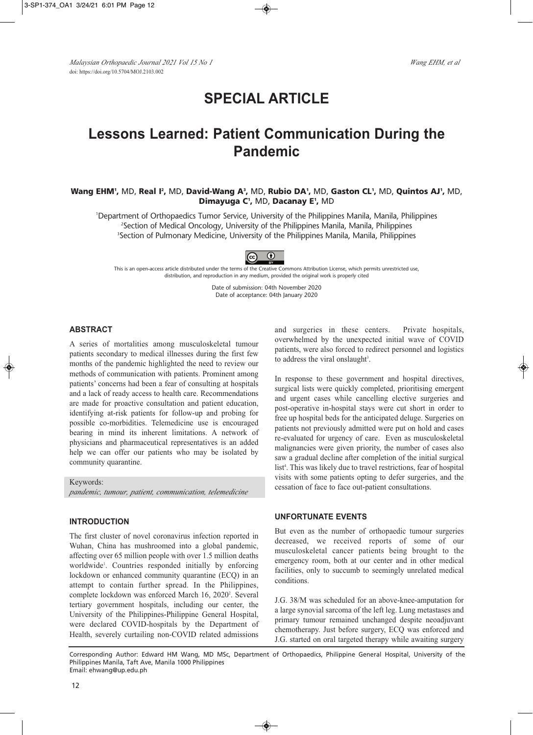# **SPECIAL ARTICLE**

## **Lessons Learned: Patient Communication During the Pandemic**

## **Wang EHM',** MD, **Real I',** MD, **David-Wang A', MD, Rubio DA', MD, Gaston CL', MD, Quintos AJ', MD, Dimayuga C1 ,** MD, **Dacanay E1 ,** MD

1 Department of Orthopaedics Tumor Service, University of the Philippines Manila, Manila, Philippines 2 Section of Medical Oncology, University of the Philippines Manila, Manila, Philippines <sup>3</sup>Section of Pulmonary Medicine, University of the Philippines Manila, Manila, Philippines



This is an open-access article distributed under the terms of the Creative Commons Attribution License, which permits unrestricted use, distribution, and reproduction in any medium, provided the original work is properly cited

> Date of submission: 04th November 2020 Date of acceptance: 04th January 2020

### **ABSTRACT**

A series of mortalities among musculoskeletal tumour patients secondary to medical illnesses during the first few months of the pandemic highlighted the need to review our methods of communication with patients. Prominent among patients' concerns had been a fear of consulting at hospitals and a lack of ready access to health care. Recommendations are made for proactive consultation and patient education, identifying at-risk patients for follow-up and probing for possible co-morbidities. Telemedicine use is encouraged bearing in mind its inherent limitations. A network of physicians and pharmaceutical representatives is an added help we can offer our patients who may be isolated by community quarantine.

Keywords: *pandemic, tumour, patient, communication, telemedicine*

## **INTRODUCTION**

The first cluster of novel coronavirus infection reported in Wuhan, China has mushroomed into a global pandemic, affecting over 65 million people with over 1.5 million deaths worldwide<sup>1</sup>. Countries responded initially by enforcing lockdown or enhanced community quarantine (ECQ) in an attempt to contain further spread. In the Philippines, complete lockdown was enforced March 16, 2020<sup>2</sup>. Several tertiary government hospitals, including our center, the University of the Philippines-Philippine General Hospital, were declared COVID-hospitals by the Department of Health, severely curtailing non-COVID related admissions and surgeries in these centers. Private hospitals, overwhelmed by the unexpected initial wave of COVID patients, were also forced to redirect personnel and logistics to address the viral onslaught<sup>3</sup>.

In response to these government and hospital directives, surgical lists were quickly completed, prioritising emergent and urgent cases while cancelling elective surgeries and post-operative in-hospital stays were cut short in order to free up hospital beds for the anticipated deluge. Surgeries on patients not previously admitted were put on hold and cases re-evaluated for urgency of care. Even as musculoskeletal malignancies were given priority, the number of cases also saw a gradual decline after completion of the initial surgical list 4 . This was likely due to travel restrictions, fear of hospital visits with some patients opting to defer surgeries, and the cessation of face to face out-patient consultations.

#### **UNFORTUNATE EVENTS**

But even as the number of orthopaedic tumour surgeries decreased, we received reports of some of our musculoskeletal cancer patients being brought to the emergency room, both at our center and in other medical facilities, only to succumb to seemingly unrelated medical conditions.

J.G. 38/M was scheduled for an above-knee-amputation for a large synovial sarcoma of the left leg. Lung metastases and primary tumour remained unchanged despite neoadjuvant chemotherapy. Just before surgery, ECQ was enforced and J.G. started on oral targeted therapy while awaiting surgery

Corresponding Author: Edward HM Wang, MD MSc, Department of Orthopaedics, Philippine General Hospital, University of the Philippines Manila, Taft Ave, Manila 1000 Philippines Email: ehwang@up.edu.ph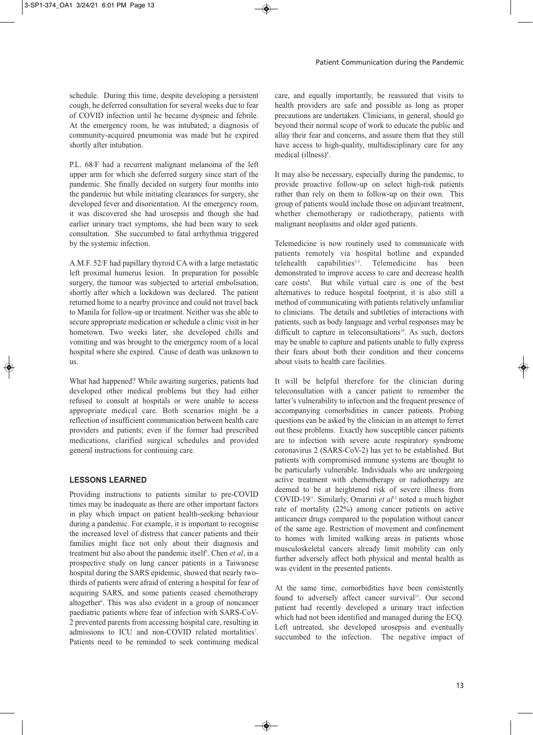schedule. During this time, despite developing a persistent cough, he deferred consultation for several weeks due to fear of COVID infection until he became dyspneic and febrile. At the emergency room, he was intubated; a diagnosis of community-acquired pneumonia was made but he expired shortly after intubation.

P.L. 68/F had a recurrent malignant melanoma of the left upper arm for which she deferred surgery since start of the pandemic. She finally decided on surgery four months into the pandemic but while initiating clearances for surgery, she developed fever and disorientation. At the emergency room, it was discovered she had urosepsis and though she had earlier urinary tract symptoms, she had been wary to seek consultation. She succumbed to fatal arrhythmia triggered by the systemic infection.

A.M.F. 52/F had papillary thyroid CA with a large metastatic left proximal humerus lesion. In preparation for possible surgery, the tumour was subjected to arterial embolisation, shortly after which a lockdown was declared. The patient returned home to a nearby province and could not travel back to Manila for follow-up or treatment. Neither was she able to secure appropriate medication or schedule a clinic visit in her hometown. Two weeks later, she developed chills and vomiting and was brought to the emergency room of a local hospital where she expired. Cause of death was unknown to us.

What had happened? While awaiting surgeries, patients had developed other medical problems but they had either refused to consult at hospitals or were unable to access appropriate medical care. Both scenarios might be a reflection of insufficient communication between health care providers and patients; even if the former had prescribed medications, clarified surgical schedules and provided general instructions for continuing care.

#### **LESSONS LEARNED**

Providing instructions to patients similar to pre-COVID times may be inadequate as there are other important factors in play which impact on patient health-seeking behaviour during a pandemic. For example, it is important to recognise the increased level of distress that cancer patients and their families might face not only about their diagnosis and treatment but also about the pandemic itself 5 . Chen *et al*, in a prospective study on lung cancer patients in a Taiwanese hospital during the SARS epidemic, showed that nearly twothirds of patients were afraid of entering a hospital for fear of acquiring SARS, and some patients ceased chemotherapy altogether 6 . This was also evident in a group of noncancer paediatric patients where fear of infection with SARS-CoV-2 prevented parents from accessing hospital care, resulting in admissions to ICU and non-COVID related mortalities<sup>7</sup>. Patients need to be reminded to seek continuing medical

care, and equally importantly, be reassured that visits to health providers are safe and possible as long as proper precautions are undertaken. Clinicians, in general, should go beyond their normal scope of work to educate the public and allay their fear and concerns, and assure them that they still have access to high-quality, multidisciplinary care for any medical (illness) 8 .

It may also be necessary, especially during the pandemic, to provide proactive follow-up on select high-risk patients rather than rely on them to follow-up on their own. This group of patients would include those on adjuvant treatment, whether chemotherapy or radiotherapy, patients with malignant neoplasms and older aged patients.

Telemedicine is now routinely used to communicate with patients remotely via hospital hotline and expanded<br>telehealth capabilities<sup>3,5</sup>. Telemedicine has been telehealth capabilities $3,5$ . . Telemedicine has been demonstrated to improve access to care and decrease health care costs<sup>9</sup>. But while virtual care is one of the best alternatives to reduce hospital footprint, it is also still a method of communicating with patients relatively unfamiliar to clinicians. The details and subtleties of interactions with patients, such as body language and verbal responses may be difficult to capture in teleconsultations<sup>10</sup>. As such, doctors may be unable to capture and patients unable to fully express their fears about both their condition and their concerns about visits to health care facilities.

It will be helpful therefore for the clinician during teleconsultation with a cancer patient to remember the latter's vulnerability to infection and the frequent presence of accompanying comorbidities in cancer patients. Probing questions can be asked by the clinician in an attempt to ferret out these problems. Exactly how susceptible cancer patients are to infection with severe acute respiratory syndrome coronavirus 2 (SARS-CoV-2) has yet to be established. But patients with compromised immune systems are thought to be particularly vulnerable. Individuals who are undergoing active treatment with chemotherapy or radiotherapy are deemed to be at heightened risk of severe illness from COVID-1911 . Similarly, Omarini *et al* <sup>12</sup> noted a much higher rate of mortality (22%) among cancer patients on active anticancer drugs compared to the population without cancer of the same age. Restriction of movement and confinement to homes with limited walking areas in patients whose musculoskeletal cancers already limit mobility can only further adversely affect both physical and mental health as was evident in the presented patients.

At the same time, comorbidities have been consistently found to adversely affect cancer survival<sup>13</sup>. Our second patient had recently developed a urinary tract infection which had not been identified and managed during the ECQ. Left untreated, she developed urosepsis and eventually succumbed to the infection. The negative impact of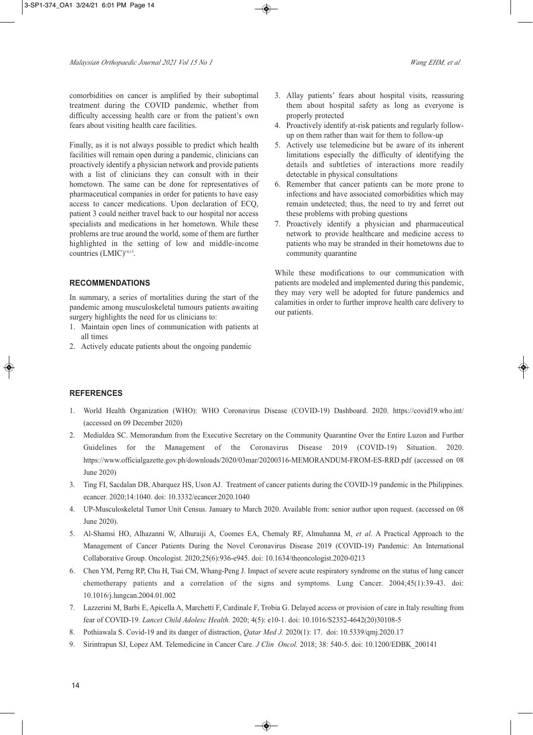comorbidities on cancer is amplified by their suboptimal treatment during the COVID pandemic, whether from difficulty accessing health care or from the patient's own fears about visiting health care facilities.

Finally, as it is not always possible to predict which health facilities will remain open during a pandemic, clinicians can proactively identify a physician network and provide patients with a list of clinicians they can consult with in their hometown. The same can be done for representatives of pharmaceutical companies in order for patients to have easy access to cancer medications. Upon declaration of ECQ, patient 3 could neither travel back to our hospital nor access specialists and medications in her hometown. While these problems are true around the world, some of them are further highlighted in the setting of low and middle-income countries (LMIC) 14,15 .

### **RECOMMENDATIONS**

In summary, a series of mortalities during the start of the pandemic among musculoskeletal tumours patients awaiting surgery highlights the need for us clinicians to:

- 1. Maintain open lines of communication with patients at all times
- 2. Actively educate patients about the ongoing pandemic
- 3. Allay patients' fears about hospital visits, reassuring them about hospital safety as long as everyone is properly protected
- 4. Proactively identify at-risk patients and regularly followup on them rather than wait for them to follow-up
- 5. Actively use telemedicine but be aware of its inherent limitations especially the difficulty of identifying the details and subtleties of interactions more readily detectable in physical consultations
- 6. Remember that cancer patients can be more prone to infections and have associated comorbidities which may remain undetected; thus, the need to try and ferret out these problems with probing questions
- 7. Proactively identify a physician and pharmaceutical network to provide healthcare and medicine access to patients who may be stranded in their hometowns due to community quarantine

While these modifications to our communication with patients are modeled and implemented during this pandemic, they may very well be adopted for future pandemics and calamities in order to further improve health care delivery to our patients.

#### **REFERENCES**

- 1. World Health Organization (WHO): WHO Coronavirus Disease (COVID-19) Dashboard. 2020. https://covid19.who.int/ (accessed on 09 December 2020)
- 2. Medialdea SC. Memorandum from the Executive Secretary on the Community Quarantine Over the Entire Luzon and Further Guidelines for the Management of the Coronavirus Disease 2019 (COVID-19) Situation. 2020. https://www.officialgazette.gov.ph/downloads/2020/03mar/20200316-MEMORANDUM-FROM-ES-RRD.pdf (accessed on 08 June 2020)
- 3. Ting FI, Sacdalan DB, Abarquez HS, Uson AJ. Treatment of cancer patients during the COVID-19 pandemic in the Philippines. ecancer. 2020;14:1040. doi: 10.3332/ecancer.2020.1040
- 4. UP-Musculoskeletal Tumor Unit Census. January to March 2020. Available from: senior author upon request. (accessed on 08 June 2020).
- 5. Al-Shamsi HO, Alhazanni W, Alhuraiji A, Coomes EA, Chemaly RF, Almuhanna M, *et al*. A Practical Approach to the Management of Cancer Patients During the Novel Coronavirus Disease 2019 (COVID-19) Pandemic: An International Collaborative Group. Oncologist. 2020;25(6):936-e945. doi: 10.1634/theoncologist.2020-0213
- 6. Chen YM, Perng RP, Chu H, Tsai CM, Whang-Peng J. Impact of severe acute respiratory syndrome on the status of lung cancer chemotherapy patients and a correlation of the signs and symptoms. Lung Cancer. 2004;45(1):39-43. doi: 10.1016/j.lungcan.2004.01.002
- 7. Lazzerini M, Barbi E, Apicella A, Marchetti F, Cardinale F, Trobia G. Delayed access or provision of care in Italy resulting from fear of COVID-19. *Lancet Child Adolesc Health.* 2020; 4(5): e10-1. doi: 10.1016/S2352-4642(20)30108-5
- 8. Pothiawala S. Covid-19 and its danger of distraction, *Qatar Med J.* 2020(1): 17. doi: 10.5339/qmj.2020.17
- 9. Sirintrapun SJ, Lopez AM. Telemedicine in Cancer Care. *J Clin Oncol.* 2018; 38: 540-5. doi: 10.1200/EDBK\_200141